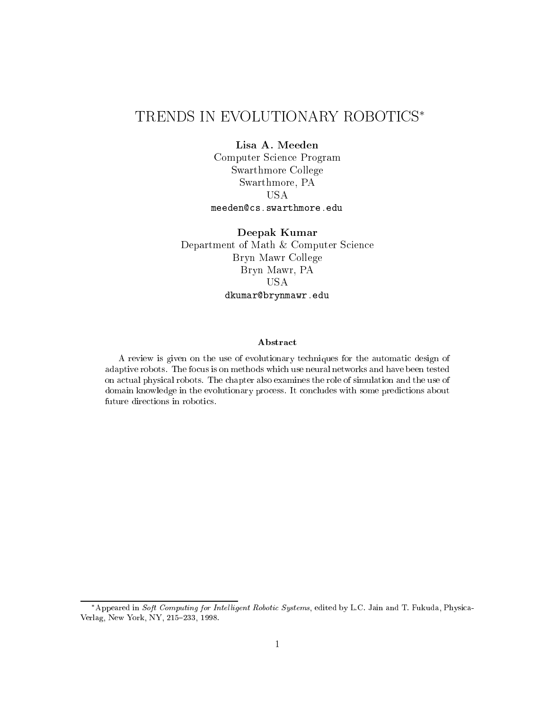# TRENDS IN EVOLUTIONARY ROBOTICS

Lisa A. Meeden

Computer Science Program Swarthmore College Swarthmore, PA USA meeden@cs.swarthmore.edu

Deepak Kumar Department of Math & Computer Science Bryn Mawr College Bryn Mawr, PA dkumar@brynmawr.edu

## Abstract

A review is given on the use of evolutionary techniques for the automatic design of adaptive robots. The focus is on methods which use neural networks and have been tested on actual physical robots. The chapter also examines the role of simulation and the use of domain knowledge in the evolutionary process. It concludes with some predictions about future directions in robotics.

Appeared in Soft Computing for Intel ligent Robotic Systems, edited by L.C. Jain and T. Fukuda, Physica-Verlag, New York, NY, 215-233, 1998.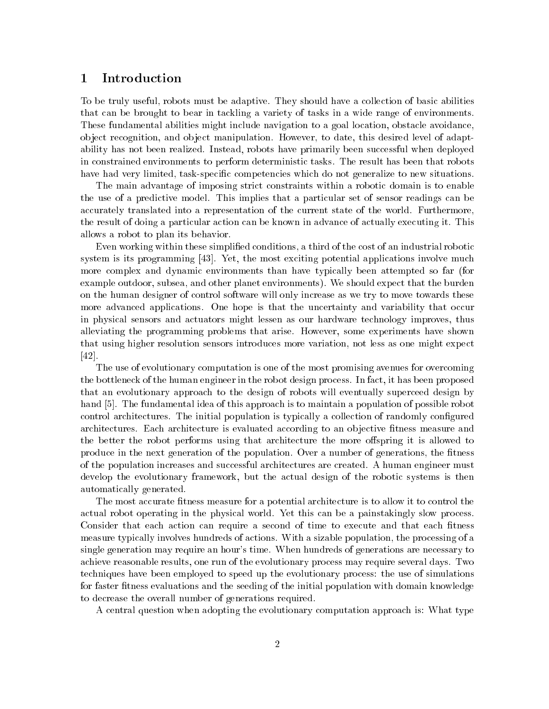### 1Introduction

To be truly useful, robots must be adaptive. They should have a collection of basic abilities that can be brought to bear in tackling a variety of tasks in a wide range of environments. These fundamental abilities might include navigation to a goal location, obstacle avoidance, ob ject recognition, and ob ject manipulation. However, to date, this desired level of adaptability has not been realized. Instead, robots have primarily been successful when deployed in constrained environments to perform deterministic tasks. The result has been that robots have had very limited, task-specific competencies which do not generalize to new situations.

The main advantage of imposing strict constraints within a robotic domain is to enable the use of a predictive model. This implies that a particular set of sensor readings can be accurately translated into a representation of the current state of the world. Furthermore, the result of doing a particular action can be known in advance of actually executing it. This allows a robot to plan its behavior.

Even working within these simplied conditions, a third of the cost of an industrial robotic system is its programming [43]. Yet, the most exciting potential applications involve much more complex and dynamic environments than have typically been attempted so far (for example outdoor, subsea, and other planet environments). We should expect that the burden on the human designer of control software will only increase as we try to move towards these more advanced applications. One hope is that the uncertainty and variability that occur in physical sensors and actuators might lessen as our hardware technology improves, thus alleviating the programming problems that arise. However, some experiments have shown that using higher resolution sensors introduces more variation, not less as one might expect [42].

The use of evolutionary computation is one of the most promising avenues for overcoming the bottleneck of the human engineer in the robot design process. In fact, it has been proposed that an evolutionary approach to the design of robots will eventually superceed design by hand [5]. The fundamental idea of this approach is to maintain a population of possible robot control architectures. The initial population is typically a collection of randomly configured architectures. Each architecture is evaluated according to an objective fitness measure and the better the robot performs using that architecture the more offspring it is allowed to produce in the next generation of the population. Over a number of generations, the fitness of the population increases and successful architectures are created. A human engineer must develop the evolutionary framework, but the actual design of the robotic systems is then automatically generated.

The most accurate fitness measure for a potential architecture is to allow it to control the actual robot operating in the physical world. Yet this can be a painstakingly slow process. Consider that each action can require a second of time to execute and that each fitness measure typically involves hundreds of actions. With a sizable population, the processing of a single generation may require an hour's time. When hundreds of generations are necessary to achieve reasonable results, one run of the evolutionary process may require several days. Two techniques have been employed to speed up the evolutionary process: the use of simulations for faster fitness evaluations and the seeding of the initial population with domain knowledge to decrease the overall number of generations required.

A central question when adopting the evolutionary computation approach is: What type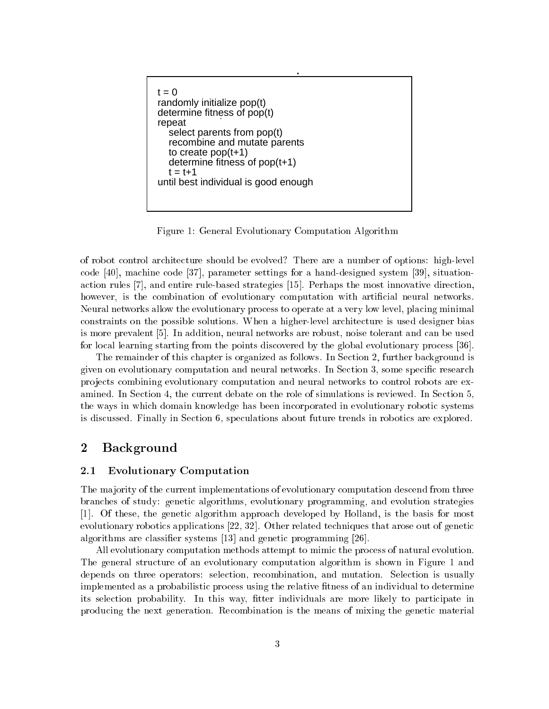\n
$$
t = 0
$$
  
\n randomly initialize pop(t)  
\n determine fitness of pop(t)  
\n repeat  
\n select parents from pop(t)  
\n recombine and mutate parents  
\n to create pop(t+1)  
\n determine fitness of pop(t+1)  
\n $t = t+1$   
\n until best individual is good enough\n

Figure 1: General Evolutionary Computation Algorithm

of robot control architecture should be evolved? There are a number of options: high-level code [40], machine code [37], parameter settings for a hand-designed system [39], situationaction rules [7], and entire rule-based strategies [15]. Perhaps the most innovative direction, however, is the combination of evolutionary computation with artificial neural networks. Neural networks allow the evolutionary process to operate at a very low level, placing minimal constraints on the possible solutions. When a higher-level architecture is used designer bias is more prevalent [5]. In addition, neural networks are robust, noise tolerant and can be used for local learning starting from the points discovered by the global evolutionary process [36].

The remainder of this chapter is organized as follows. In Section 2, further background is given on evolutionary computation and neural networks. In Section 3, some specic research projects combining evolutionary computation and neural networks to control robots are examined. In Section 4, the current debate on the role of simulations is reviewed. In Section 5, the ways in which domain knowledge has been incorporated in evolutionary robotic systems is discussed. Finally in Section 6, speculations about future trends in robotics are explored.

### 2Background

#### **Evolutionary Computation**  $2.1$

The majority of the current implementations of evolutionary computation descend from three branches of study: genetic algorithms, evolutionary programming, and evolution strategies [1]. Of these, the genetic algorithm approach developed by Holland, is the basis for most evolutionary robotics applications [22, 32]. Other related techniques that arose out of genetic algorithms are classifier systems [13] and genetic programming [26].

All evolutionary computation methods attempt to mimic the process of natural evolution. The general structure of an evolutionary computation algorithm is shown in Figure 1 and depends on three operators: selection, recombination, and mutation. Selection is usually implemented as a probabilistic process using the relative fitness of an individual to determine its selection probability. In this way, fitter individuals are more likely to participate in producing the next generation. Recombination is the means of mixing the genetic material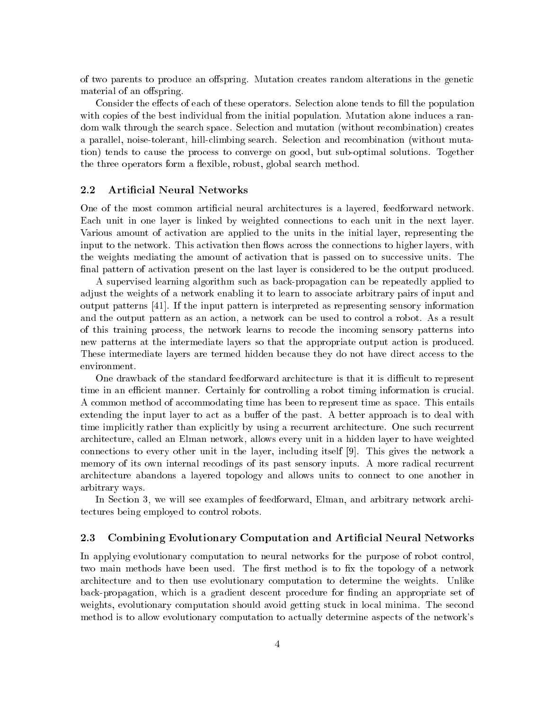of two parents to produce an offspring. Mutation creates random alterations in the genetic material of an offspring.

Consider the effects of each of these operators. Selection alone tends to fill the population with copies of the best individual from the initial population. Mutation alone induces a random walk through the search space. Selection and mutation (without recombination) creates a parallel, noise-tolerant, hill-climbing search. Selection and recombination (without mutation) tends to cause the process to converge on good, but sub-optimal solutions. Together the three operators form a flexible, robust, global search method.

#### $2.2$ Artificial Neural Networks

One of the most common articial neural architectures is a layered, feedforward network. Each unit in one layer is linked by weighted connections to each unit in the next layer. Various amount of activation are applied to the units in the initial layer, representing the input to the network. This activation then flows across the connections to higher layers, with the weights mediating the amount of activation that is passed on to successive units. The final pattern of activation present on the last layer is considered to be the output produced.

A supervised learning algorithm such as back-propagation can be repeatedly applied to adjust the weights of a network enabling it to learn to associate arbitrary pairs of input and output patterns [41]. If the input pattern is interpreted as representing sensory information and the output pattern as an action, a network can be used to control a robot. As a result of this training process, the network learns to recode the incoming sensory patterns into new patterns at the intermediate layers so that the appropriate output action is produced. These intermediate layers are termed hidden because they do not have direct access to the environment.

One drawback of the standard feedforward architecture is that it is difficult to represent time in an efficient manner. Certainly for controlling a robot timing information is crucial. A common method of accommodating time has been to represent time as space. This entails extending the input layer to act as a buffer of the past. A better approach is to deal with time implicitly rather than explicitly by using a recurrent architecture. One such recurrent architecture, called an Elman network, allows every unit in a hidden layer to have weighted connections to every other unit in the layer, including itself [9]. This gives the network a memory of its own internal recodings of its past sensory inputs. A more radical recurrent architecture abandons a layered topology and allows units to connect to one another in arbitrary ways.

In Section 3, we will see examples of feedforward, Elman, and arbitrary network architectures being employed to control robots.

#### 2.3 2.3 Combining Evolutionary Computation and Articial Neural Networks

In applying evolutionary computation to neural networks for the purpose of robot control, two main methods have been used. The first method is to fix the topology of a network architecture and to then use evolutionary computation to determine the weights. Unlike back-propagation, which is a gradient descent procedure for finding an appropriate set of weights, evolutionary computation should avoid getting stuck in local minima. The second method is to allow evolutionary computation to actually determine aspects of the network's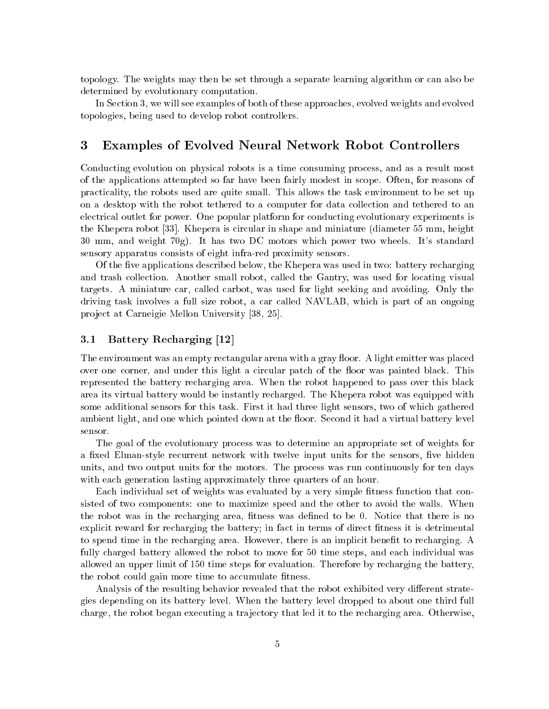topology. The weights may then be set through a separate learning algorithm or can also be determined by evolutionary computation.

In Section 3, we will see examples of both of these approaches, evolved weights and evolved topologies, being used to develop robot controllers.

### 3Examples of Evolved Neural Network Robot Controllers

Conducting evolution on physical robots is a time consuming process, and as a result most of the applications attempted so far have been fairly modest in scope. Often, for reasons of practicality, the robots used are quite small. This allows the task environment to be set up on a desktop with the robot tethered to a computer for data collection and tethered to an electrical outlet for power. One popular platform for conducting evolutionary experiments is the Khepera robot [33]. Khepera is circular in shape and miniature (diameter 55 mm, height 30 mm, and weight 70g). It has two DC motors which power two wheels. It's standard sensory apparatus consists of eight infra-red proximity sensors.

Of the five applications described below, the Khepera was used in two: battery recharging and trash collection. Another small robot, called the Gantry, was used for locating visual targets. A miniature car, called carbot, was used for light seeking and avoiding. Only the driving task involves a full size robot, a car called NAVLAB, which is part of an ongoing project at Carneigie Mellon University [38, 25].

# 3.1 Battery Recharging [12]

The environment was an empty rectangular arena with a gray floor. A light emitter was placed over one corner, and under this light a circular patch of the floor was painted black. This represented the battery recharging area. When the robot happened to pass over this black area its virtual battery would be instantly recharged. The Khepera robot was equipped with some additional sensors for this task. First it had three light sensors, two of which gathered ambient light, and one which pointed down at the floor. Second it had a virtual battery level sensor.

The goal of the evolutionary process was to determine an appropriate set of weights for a fixed Elman-style recurrent network with twelve input units for the sensors, five hidden units, and two output units for the motors. The process was run continuously for ten days with each generation lasting approximately three quarters of an hour.

Each individual set of weights was evaluated by a very simple fitness function that consisted of two components: one to maximize speed and the other to avoid the walls. When the robot was in the recharging area, fitness was defined to be 0. Notice that there is no explicit reward for recharging the battery; in fact in terms of direct fitness it is detrimental to spend time in the recharging area. However, there is an implicit benefit to recharging. A fully charged battery allowed the robot to move for 50 time steps, and each individual was allowed an upper limit of 150 time steps for evaluation. Therefore by recharging the battery, the robot could gain more time to accumulate fitness.

Analysis of the resulting behavior revealed that the robot exhibited very different strategies depending on its battery level. When the battery level dropped to about one third full charge, the robot began executing a trajectory that led it to the recharging area. Otherwise,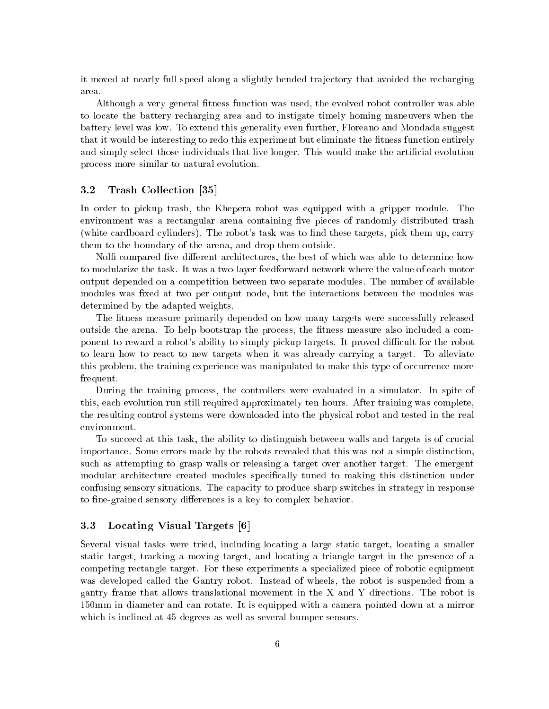it moved at nearly full speed along a slightly bended tra jectory that avoided the recharging area.

Although a very general fitness function was used, the evolved robot controller was able to locate the battery recharging area and to instigate timely homing maneuvers when the battery level was low. To extend this generality even further, Floreano and Mondada suggest that it would be interesting to redo this experiment but eliminate the fitness function entirely and simply select those individuals that live longer. This would make the articial evolution process more similar to natural evolution.

#### $3.2$ Trash Collection [35]

In order to pickup trash, the Khepera robot was equipped with a gripper module. The environment was a rectangular arena containing five pieces of randomly distributed trash (white cardboard cylinders). The robot's task was to find these targets, pick them up, carry them to the boundary of the arena, and drop them outside.

Nolfi compared five different architectures, the best of which was able to determine how to modularize the task. It was a two-layer feedforward network where the value of each motor output depended on a competition between two separate modules. The number of available modules was fixed at two per output node, but the interactions between the modules was determined by the adapted weights.

The fitness measure primarily depended on how many targets were successfully released outside the arena. To help bootstrap the process, the fitness measure also included a component to reward a robot's ability to simply pickup targets. It proved difficult for the robot to learn how to react to new targets when it was already carrying a target. To alleviate this problem, the training experience was manipulated to make this type of occurrence more frequent.

During the training process, the controllers were evaluated in a simulator. In spite of this, each evolution run still required approximately ten hours. After training was complete, the resulting control systems were downloaded into the physical robot and tested in the real environment.

To succeed at this task, the ability to distinguish between walls and targets is of crucial importance. Some errors made by the robots revealed that this was not a simple distinction, such as attempting to grasp walls or releasing a target over another target. The emergent modular architecture created modules specically tuned to making this distinction under confusing sensory situations. The capacity to produce sharp switches in strategy in response to fine-grained sensory differences is a key to complex behavior.

# 3.3 Locating Visual Targets [6]

Several visual tasks were tried, including locating a large static target, locating a smaller static target, tracking a moving target, and locating a triangle target in the presence of a competing rectangle target. For these experiments a specialized piece of robotic equipment was developed called the Gantry robot. Instead of wheels, the robot is suspended from a gantry frame that allows translational movement in the X and Y directions. The robot is 150mm in diameter and can rotate. It is equipped with a camera pointed down at a mirror which is inclined at 45 degrees as well as several bumper sensors.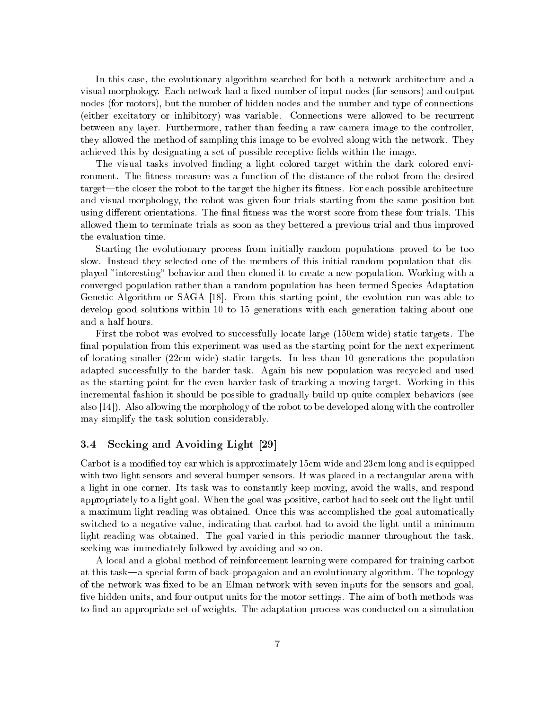In this case, the evolutionary algorithm searched for both a network architecture and a visual morphology. Each network had a fixed number of input nodes (for sensors) and output nodes (for motors), but the number of hidden nodes and the number and type of connections (either excitatory or inhibitory) was variable. Connections were allowed to be recurrent between any layer. Furthermore, rather than feeding a raw camera image to the controller, they allowed the method of sampling this image to be evolved along with the network. They achieved this by designating a set of possible receptive fields within the image.

The visual tasks involved finding a light colored target within the dark colored environment. The fitness measure was a function of the distance of the robot from the desired target—the closer the robot to the target the higher its fitness. For each possible architecture and visual morphology, the robot was given four trials starting from the same position but using different orientations. The final fitness was the worst score from these four trials. This allowed them to terminate trials as soon as they bettered a previous trial and thus improved the evaluation time.

Starting the evolutionary process from initially random populations proved to be too slow. Instead they selected one of the members of this initial random population that displayed "interesting" behavior and then cloned it to create a new population. Working with a converged population rather than a random population has been termed Species Adaptation Genetic Algorithm or SAGA [18]. From this starting point, the evolution run was able to develop good solutions within 10 to 15 generations with each generation taking about one and a half hours.

First the robot was evolved to successfully locate large (150cm wide) static targets. The final population from this experiment was used as the starting point for the next experiment of locating smaller (22cm wide) static targets. In less than 10 generations the population adapted successfully to the harder task. Again his new population was recycled and used as the starting point for the even harder task of tracking a moving target. Working in this incremental fashion it should be possible to gradually build up quite complex behaviors (see also [14]). Also allowing the morphology of the robot to be developed along with the controller may simplify the task solution considerably.

#### 3.4 Seeking and Avoiding Light [29]

Carbot is a modied toy car which is approximately 15cm wide and 23cm long and is equipped with two light sensors and several bumper sensors. It was placed in a rectangular arena with a light in one corner. Its task was to constantly keep moving, avoid the walls, and respond appropriately to a light goal. When the goal was positive, carbot had to seek out the light until a maximum light reading was obtained. Once this was accomplished the goal automatically switched to a negative value, indicating that carbot had to avoid the light until a minimum light reading was obtained. The goal varied in this periodic manner throughout the task, seeking was immediately followed by avoiding and so on.

A local and a global method of reinforcement learning were compared for training carbot at this task—a special form of back-propagaion and an evolutionary algorithm. The topology of the network was fixed to be an Elman network with seven inputs for the sensors and goal, five hidden units, and four output units for the motor settings. The aim of both methods was to find an appropriate set of weights. The adaptation process was conducted on a simulation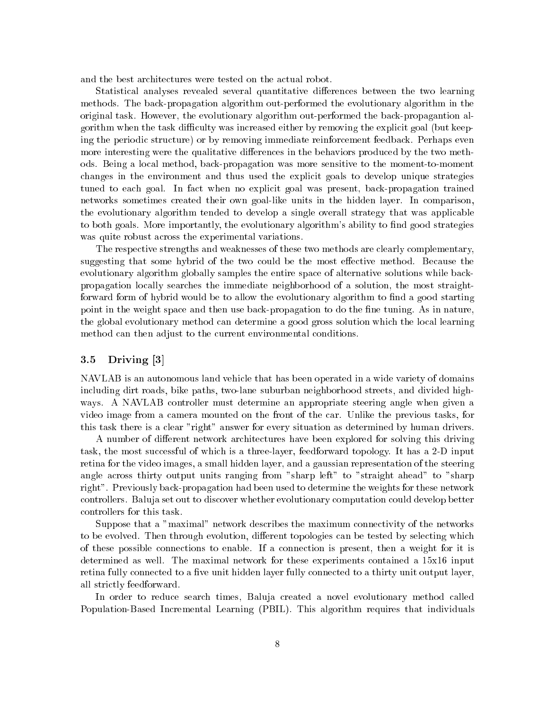and the best architectures were tested on the actual robot.

Statistical analyses revealed several quantitative differences between the two learning methods. The back-propagation algorithm out-performed the evolutionary algorithm in the original task. However, the evolutionary algorithm out-performed the back-propagantion algorithm when the task difficulty was increased either by removing the explicit goal (but keeping the periodic structure) or by removing immediate reinforcement feedback. Perhaps even more interesting were the qualitative differences in the behaviors produced by the two methods. Being a local method, back-propagation was more sensitive to the moment-to-moment changes in the environment and thus used the explicit goals to develop unique strategies tuned to each goal. In fact when no explicit goal was present, back-propagation trained networks sometimes created their own goal-like units in the hidden layer. In comparison, the evolutionary algorithm tended to develop a single overall strategy that was applicable to both goals. More importantly, the evolutionary algorithm's ability to find good strategies was quite robust across the experimental variations.

The respective strengths and weaknesses of these two methods are clearly complementary, suggesting that some hybrid of the two could be the most effective method. Because the evolutionary algorithm globally samples the entire space of alternative solutions while backpropagation locally searches the immediate neighborhood of a solution, the most straightforward form of hybrid would be to allow the evolutionary algorithm to find a good starting point in the weight space and then use back-propagation to do the fine tuning. As in nature, the global evolutionary method can determine a good gross solution which the local learning method can then adjust to the current environmental conditions.

# 3.5 Driving [3]

NAVLAB is an autonomous land vehicle that has been operated in a wide variety of domains including dirt roads, bike paths, two-lane suburban neighborhood streets, and divided highways. A NAVLAB controller must determine an appropriate steering angle when given a video image from a camera mounted on the front of the car. Unlike the previous tasks, for this task there is a clear "right" answer for every situation as determined by human drivers.

A number of different network architectures have been explored for solving this driving task, the most successful of which is a three-layer, feedforward topology. It has a 2-D input retina for the video images, a small hidden layer, and a gaussian representation of the steering angle across thirty output units ranging from "sharp left" to "straight ahead" to "sharp right". Previously back-propagation had been used to determine the weights for these network controllers. Baluja set out to discover whether evolutionary computation could develop better controllers for this task.

Suppose that a "maximal" network describes the maximum connectivity of the networks to be evolved. Then through evolution, different topologies can be tested by selecting which of these possible connections to enable. If a connection is present, then a weight for it is determined as well. The maximal network for these experiments contained a 15x16 input retina fully connected to a five unit hidden layer fully connected to a thirty unit output layer, all strictly feedforward.

In order to reduce search times, Baluja created a novel evolutionary method called Population-Based Incremental Learning (PBIL). This algorithm requires that individuals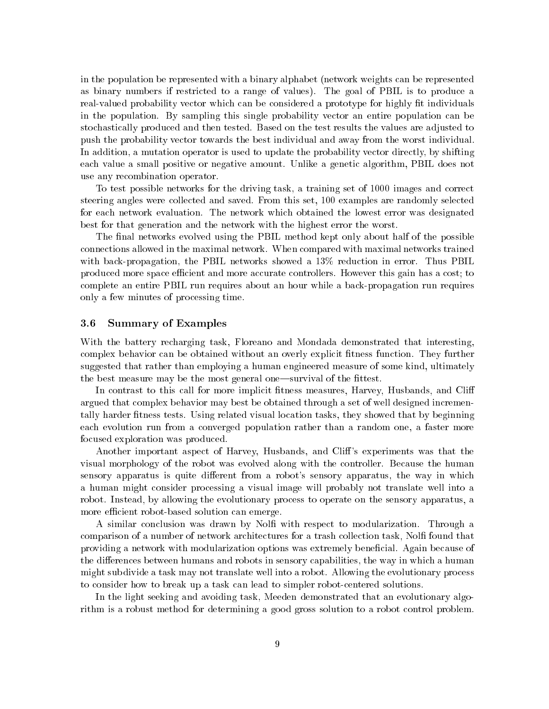in the population be represented with a binary alphabet (network weights can be represented as binary numbers if restricted to a range of values). The goal of PBIL is to produce a real-valued probability vector which can be considered a prototype for highly fit individuals in the population. By sampling this single probability vector an entire population can be stochastically produced and then tested. Based on the test results the values are adjusted to push the probability vector towards the best individual and away from the worst individual. In addition, a mutation operator is used to update the probability vector directly, by shifting each value a small positive or negative amount. Unlike a genetic algorithm, PBIL does not use any recombination operator.

To test possible networks for the driving task, a training set of 1000 images and correct steering angles were collected and saved. From this set, 100 examples are randomly selected for each network evaluation. The network which obtained the lowest error was designated best for that generation and the network with the highest error the worst.

The final networks evolved using the PBIL method kept only about half of the possible connections allowed in the maximal network. When compared with maximal networks trained with back-propagation, the PBIL networks showed a 13% reduction in error. Thus PBIL produced more space efficient and more accurate controllers. However this gain has a cost; to complete an entire PBIL run requires about an hour while a back-propagation run requires only a few minutes of processing time.

# 3.6 Summary of Examples

With the battery recharging task, Floreano and Mondada demonstrated that interesting, complex behavior can be obtained without an overly explicit fitness function. They further suggested that rather than employing a human engineered measure of some kind, ultimately the best measure may be the most general one—survival of the fittest.

In contrast to this call for more implicit fitness measures, Harvey, Husbands, and Cliff argued that complex behavior may best be obtained through a set of well designed incrementally harder fitness tests. Using related visual location tasks, they showed that by beginning each evolution run from a converged population rather than a random one, a faster more focused exploration was produced.

Another important aspect of Harvey, Husbands, and Cliff's experiments was that the visual morphology of the robot was evolved along with the controller. Because the human sensory apparatus is quite different from a robot's sensory apparatus, the way in which a human might consider processing a visual image will probably not translate well into a robot. Instead, by allowing the evolutionary process to operate on the sensory apparatus, a more efficient robot-based solution can emerge.

A similar conclusion was drawn by Nolfi with respect to modularization. Through a comparison of a number of network architectures for a trash collection task, Nolfi found that providing a network with modularization options was extremely beneficial. Again because of the differences between humans and robots in sensory capabilities, the way in which a human might subdivide a task may not translate well into a robot. Allowing the evolutionary process to consider how to break up a task can lead to simpler robot-centered solutions.

In the light seeking and avoiding task, Meeden demonstrated that an evolutionary algorithm is a robust method for determining a good gross solution to a robot control problem.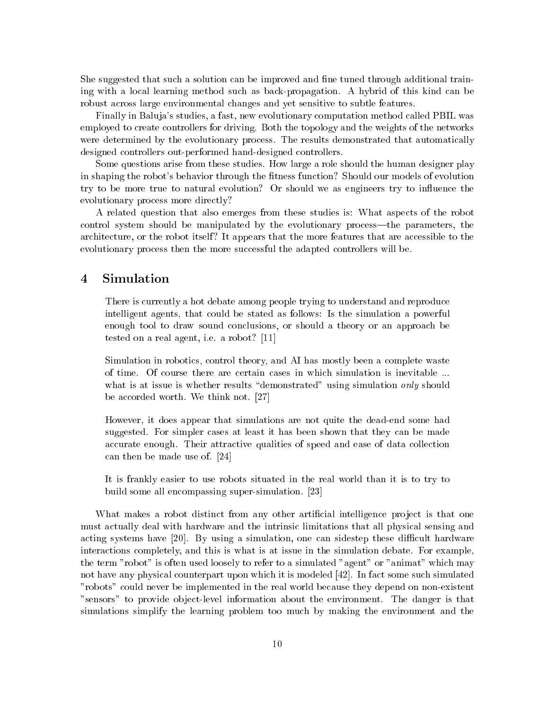She suggested that such a solution can be improved and fine tuned through additional training with a local learning method such as back-propagation. A hybrid of this kind can be robust across large environmental changes and yet sensitive to subtle features.

Finally in Baluja's studies, a fast, new evolutionary computation method called PBIL was employed to create controllers for driving. Both the topology and the weights of the networks were determined by the evolutionary process. The results demonstrated that automatically designed controllers out-performed hand-designed controllers.

Some questions arise from these studies. How large a role should the human designer play in shaping the robot's behavior through the fitness function? Should our models of evolution try to be more true to natural evolution? Or should we as engineers try to in
uence the evolutionary process more directly?

A related question that also emerges from these studies is: What aspects of the robot control system should be manipulated by the evolutionary process—the parameters, the architecture, or the robot itself? It appears that the more features that are accessible to the evolutionary process then the more successful the adapted controllers will be.

### Simulation  $\overline{\mathbf{4}}$

There is currently a hot debate among people trying to understand and reproduce intelligent agents, that could be stated as follows: Is the simulation a powerful enough tool to draw sound conclusions, or should a theory or an approach be tested on a real agent, i.e. a robot? [11]

Simulation in robotics, control theory, and AI has mostly been a complete waste of time. Of course there are certain cases in which simulation is inevitable ... what is at issue is whether results "demonstrated" using simulation only should be accorded worth. We think not. [27]

However, it does appear that simulations are not quite the dead-end some had suggested. For simpler cases at least it has been shown that they can be made accurate enough. Their attractive qualities of speed and ease of data collection can then be made use of. [24]

It is frankly easier to use robots situated in the real world than it is to try to build some all encompassing super-simulation. [23]

What makes a robot distinct from any other artificial intelligence project is that one must actually deal with hardware and the intrinsic limitations that all physical sensing and acting systems have  $[20]$ . By using a simulation, one can sidestep these difficult hardware interactions completely, and this is what is at issue in the simulation debate. For example, the term "robot" is often used loosely to refer to a simulated "agent" or "animat" which may not have any physical counterpart upon which it is modeled [42]. In fact some such simulated "robots" could never be implemented in the real world because they depend on non-existent "sensors" to provide object-level information about the environment. The danger is that simulations simplify the learning problem too much by making the environment and the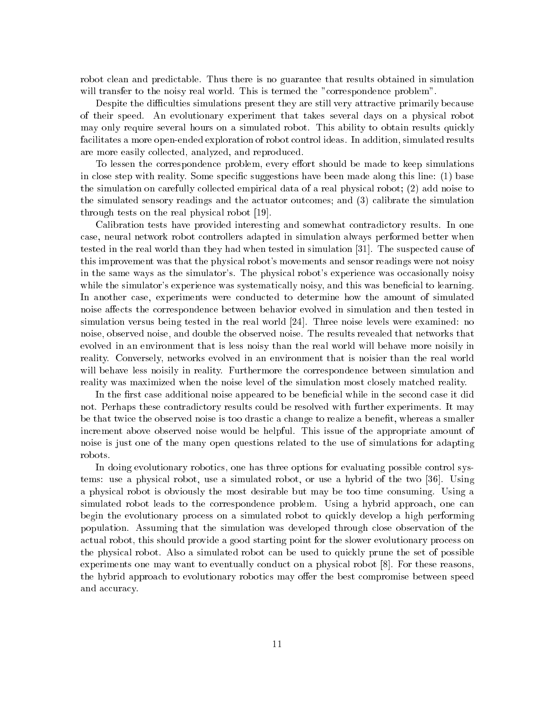robot clean and predictable. Thus there is no guarantee that results obtained in simulation will transfer to the noisy real world. This is termed the "correspondence problem".

Despite the difficulties simulations present they are still very attractive primarily because of their speed. An evolutionary experiment that takes several days on a physical robot may only require several hours on a simulated robot. This ability to obtain results quickly facilitates a more open-ended exploration of robot control ideas. In addition, simulated results are more easily collected, analyzed, and reproduced.

To lessen the correspondence problem, every effort should be made to keep simulations in close step with reality. Some specific suggestions have been made along this line:  $(1)$  base the simulation on carefully collected empirical data of a real physical robot; (2) add noise to the simulated sensory readings and the actuator outcomes; and (3) calibrate the simulation through tests on the real physical robot [19].

Calibration tests have provided interesting and somewhat contradictory results. In one case, neural network robot controllers adapted in simulation always performed better when tested in the real world than they had when tested in simulation [31]. The suspected cause of this improvement was that the physical robot's movements and sensor readings were not noisy in the same ways as the simulator's. The physical robot's experience was occasionally noisy while the simulator's experience was systematically noisy, and this was beneficial to learning. In another case, experiments were conducted to determine how the amount of simulated noise affects the correspondence between behavior evolved in simulation and then tested in simulation versus being tested in the real world [24]. Three noise levels were examined: no noise, observed noise, and double the observed noise. The results revealed that networks that evolved in an environment that is less noisy than the real world will behave more noisily in reality. Conversely, networks evolved in an environment that is noisier than the real world will behave less noisily in reality. Furthermore the correspondence between simulation and reality was maximized when the noise level of the simulation most closely matched reality.

In the first case additional noise appeared to be beneficial while in the second case it did not. Perhaps these contradictory results could be resolved with further experiments. It may be that twice the observed noise is too drastic a change to realize a benet, whereas a smaller increment above observed noise would be helpful. This issue of the appropriate amount of noise is just one of the many open questions related to the use of simulations for adapting robots.

In doing evolutionary robotics, one has three options for evaluating possible control systems: use a physical robot, use a simulated robot, or use a hybrid of the two [36]. Using a physical robot is obviously the most desirable but may be too time consuming. Using a simulated robot leads to the correspondence problem. Using a hybrid approach, one can begin the evolutionary process on a simulated robot to quickly develop a high performing population. Assuming that the simulation was developed through close observation of the actual robot, this should provide a good starting point for the slower evolutionary process on the physical robot. Also a simulated robot can be used to quickly prune the set of possible experiments one may want to eventually conduct on a physical robot [8]. For these reasons, the hybrid approach to evolutionary robotics may offer the best compromise between speed and accuracy.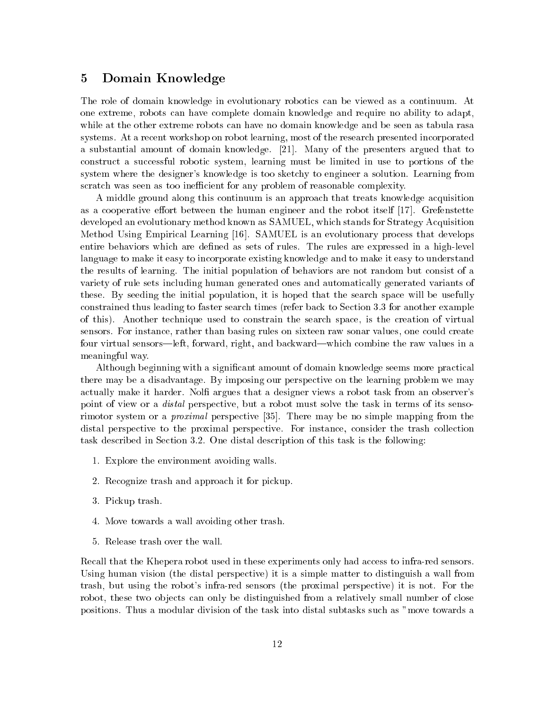### 5Domain Knowledge

The role of domain knowledge in evolutionary robotics can be viewed as a continuum. At one extreme, robots can have complete domain knowledge and require no ability to adapt, while at the other extreme robots can have no domain knowledge and be seen as tabula rasa systems. At a recent workshop on robot learning, most of the research presented incorporated a substantial amount of domain knowledge. [21]. Many of the presenters argued that to construct a successful robotic system, learning must be limited in use to portions of the system where the designer's knowledge is too sketchy to engineer a solution. Learning from scratch was seen as too inefficient for any problem of reasonable complexity.

A middle ground along this continuum is an approach that treats knowledge acquisition as a cooperative effort between the human engineer and the robot itself  $[17]$ . Grefenstette developed an evolutionary method known as SAMUEL, which stands for Strategy Acquisition Method Using Empirical Learning [16]. SAMUEL is an evolutionary process that develops entire behaviors which are defined as sets of rules. The rules are expressed in a high-level language to make it easy to incorporate existing knowledge and to make it easy to understand the results of learning. The initial population of behaviors are not random but consist of a variety of rule sets including human generated ones and automatically generated variants of these. By seeding the initial population, it is hoped that the search space will be usefully constrained thus leading to faster search times (refer back to Section 3.3 for another example of this). Another technique used to constrain the search space, is the creation of virtual sensors. For instance, rather than basing rules on sixteen raw sonar values, one could create four virtual sensors—left, forward, right, and backward—which combine the raw values in a meaningful way.

Although beginning with a signicant amount of domain knowledge seems more practical there may be a disadvantage. By imposing our perspective on the learning problem we may actually make it harder. Nolfi argues that a designer views a robot task from an observer's point of view or a *distal* perspective, but a robot must solve the task in terms of its sensorimotor system or a *proximal* perspective [35]. There may be no simple mapping from the distal perspective to the proximal perspective. For instance, consider the trash collection task described in Section 3.2. One distal description of this task is the following:

- 1. Explore the environment avoiding walls.
- 2. Recognize trash and approach it for pickup.
- 3. Pickup trash.
- 4. Move towards a wall avoiding other trash.
- 5. Release trash over the wall.

Recall that the Khepera robot used in these experiments only had access to infra-red sensors. Using human vision (the distal perspective) it is a simple matter to distinguish a wall from trash, but using the robot's infra-red sensors (the proximal perspective) it is not. For the robot, these two objects can only be distinguished from a relatively small number of close positions. Thus a modular division of the task into distal subtasks such as "move towards a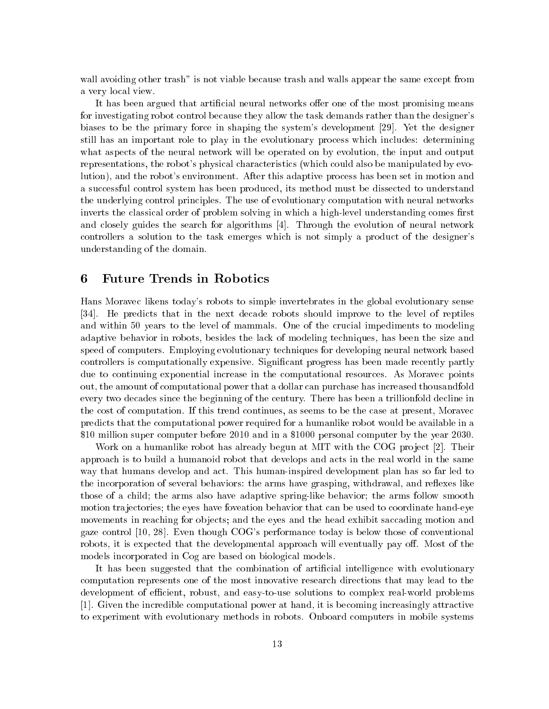wall avoiding other trash" is not viable because trash and walls appear the same except from a very local view.

It has been argued that artificial neural networks offer one of the most promising means for investigating robot control because they allow the task demands rather than the designer's biases to be the primary force in shaping the system's development [29]. Yet the designer still has an important role to play in the evolutionary process which includes: determining what aspects of the neural network will be operated on by evolution, the input and output representations, the robot's physical characteristics (which could also be manipulated by evolution), and the robot's environment. After this adaptive process has been set in motion and a successful control system has been produced, its method must be dissected to understand the underlying control principles. The use of evolutionary computation with neural networks inverts the classical order of problem solving in which a high-level understanding comes first and closely guides the search for algorithms [4]. Through the evolution of neural network controllers a solution to the task emerges which is not simply a product of the designer's understanding of the domain.

### 6 Future Trends in Robotics

Hans Moravec likens today's robots to simple invertebrates in the global evolutionary sense [34]. He predicts that in the next decade robots should improve to the level of reptiles and within 50 years to the level of mammals. One of the crucial impediments to modeling adaptive behavior in robots, besides the lack of modeling techniques, has been the size and speed of computers. Employing evolutionary techniques for developing neural network based controllers is computationally expensive. Signicant progress has been made recently partly due to continuing exponential increase in the computational resources. As Moravec points out, the amount of computational power that a dollar can purchase has increased thousandfold every two decades since the beginning of the century. There has been a trillionfold decline in the cost of computation. If this trend continues, as seems to be the case at present, Moravec predicts that the computational power required for a humanlike robot would be available in a \$10 million super computer before 2010 and in a \$1000 personal computer by the year 2030.

Work on a humanlike robot has already begun at MIT with the COG project [2]. Their approach is to build a humanoid robot that develops and acts in the real world in the same way that humans develop and act. This human-inspired development plan has so far led to the incorporation of several behaviors: the arms have grasping, withdrawal, and reflexes like those of a child; the arms also have adaptive spring-like behavior; the arms follow smooth motion trajectories; the eyes have foveation behavior that can be used to coordinate hand-eye movements in reaching for objects; and the eyes and the head exhibit saccading motion and gaze control [10, 28]. Even though COG's performance today is below those of conventional robots, it is expected that the developmental approach will eventually pay off. Most of the models incorporated in Cog are based on biological models.

It has been suggested that the combination of articial intelligence with evolutionary computation represents one of the most innovative research directions that may lead to the development of efficient, robust, and easy-to-use solutions to complex real-world problems [1]. Given the incredible computational power at hand, it is becoming increasingly attractive to experiment with evolutionary methods in robots. Onboard computers in mobile systems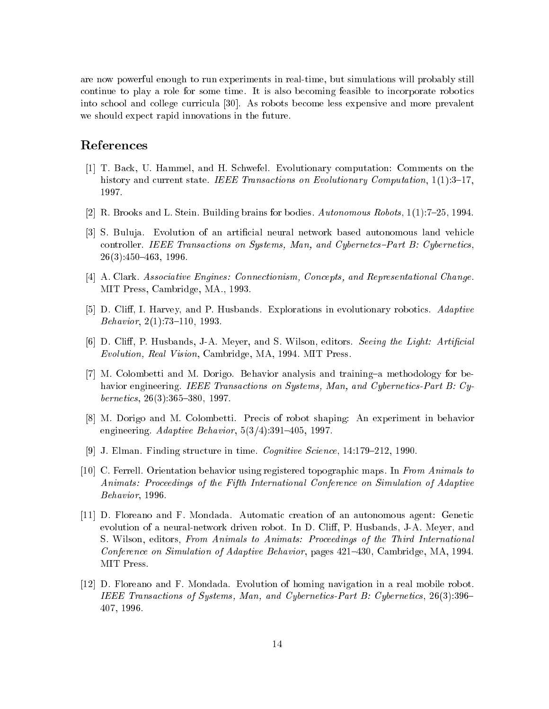are now powerful enough to run experiments in real-time, but simulations will probably still continue to play a role for some time. It is also becoming feasible to incorporate robotics into school and college curricula [30]. As robots become less expensive and more prevalent we should expect rapid innovations in the future.

# $\sim$  - - - - - - - - - -  $\sim$

- [1] T. Back, U. Hammel, and H. Schwefel. Evolutionary computation: Comments on the history and current state. IEEE Transactions on Evolutionary Computation,  $1(1):3-17$ , 1997.
- [2] R. Brooks and L. Stein. Building brains for bodies.  $Autonomous \, Robots$ ,  $1(1): 7-25$ , 1994.
- [3] S. Buluja. Evolution of an articial neural network based autonomous land vehicle controller. IEEE Transactions on Systems, Man, and Cybernetcs-Part B: Cybernetics,  $26(3):450{-}463, 1996.$
- [4] A. Clark. Associative Engines: Connectionism, Concepts, and Representational Change. MIT Press, Cambridge, MA., 1993.
- [5] D. Cliff, I. Harvey, and P. Husbands. Explorations in evolutionary robotics. Adaptive Behavior,  $2(1)$ :73-110, 1993.
- [6] D. Cliff, P. Husbands, J-A. Meyer, and S. Wilson, editors. Seeing the Light: Artificial Evolution, Real Vision, Cambridge, MA, 1994. MIT Press.
- [7] M. Colombetti and M. Dorigo. Behavior analysis and training-a methodology for behavior engineering. IEEE Transactions on Systems, Man, and Cybernetics-Part B: Cybernetics,  $26(3):365-380$ , 1997.
- [8] M. Dorigo and M. Colombetti. Precis of robot shaping: An experiment in behavior engineering.  $Adaptive\ Behavior$ ,  $5(3/4):391-405$ , 1997.
- [9] J. Elman. Finding structure in time. *Cognitive Science*,  $14:179{-}212$ , 1990.
- [10] C. Ferrell. Orientation behavior using registered topographic maps. In From Animals to Animats: Proceedings of the Fifth International Conference on Simulation of Adaptive Behavior, 1996.
- [11] D. Floreano and F. Mondada. Automatic creation of an autonomous agent: Genetic evolution of a neural-network driven robot. In D. Cliff, P. Husbands, J-A. Meyer, and S. Wilson, editors, From Animals to Animats: Proceedings of the Third International Conference on Simulation of Adaptive Behavior, pages 421-430, Cambridge, MA, 1994. MIT Press.
- [12] D. Floreano and F. Mondada. Evolution of homing navigation in a real mobile robot. IEEE Transactions of Systems, Man, and Cybernetics-Part B: Cybernetics, 26(3):396-407, 1996.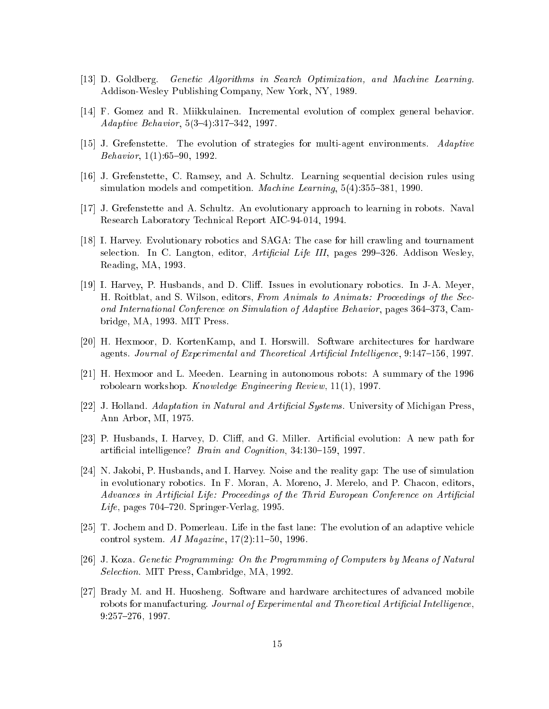- [13] D. Goldberg. Genetic Algorithms in Search Optimization, and Machine Learning. Addison-Wesley Publishing Company, New York, NY, 1989.
- [14] F. Gomez and R. Miikkulainen. Incremental evolution of complex general behavior. Adaptive Behavior,  $5(3-4):317-342$ , 1997.
- [15] J. Grefenstette. The evolution of strategies for multi-agent environments. Adaptive Behavior,  $1(1): 65{-}90, 1992.$
- [16] J. Grefenstette, C. Ramsey, and A. Schultz. Learning sequential decision rules using simulation models and competition. *Machine Learning*,  $5(4):355-381$ , 1990.
- [17] J. Grefenstette and A. Schultz. An evolutionary approach to learning in robots. Naval Research Laboratory Technical Report AIC-94-014, 1994.
- [18] I. Harvey. Evolutionary robotics and SAGA: The case for hill crawling and tournament selection. In C. Langton, editor, *Artificial Life III*, pages  $299-326$ . Addison Wesley, Reading, MA, 1993.
- [19] I. Harvey, P. Husbands, and D. Cliff. Issues in evolutionary robotics. In J-A. Meyer, H. Roitblat, and S. Wilson, editors, From Animals to Animats: Proceedings of the Second International Conference on Simulation of Adaptive Behavior, pages  $364-373$ , Cambridge, MA, 1993. MIT Press.
- [20] H. Hexmoor, D. KortenKamp, and I. Horswill. Software architectures for hardware agents. Journal of Experimental and Theoretical Artificial Intelligence, 9:147-156, 1997.
- [21] H. Hexmoor and L. Meeden. Learning in autonomous robots: A summary of the 1996 robolearn workshop. Know ledge Engineering Review, 11(1), 1997.
- [22] J. Holland. *Adaptation in Natural and Artificial Systems*. University of Michigan Press, Ann Arbor, MI, 1975.
- [23] P. Husbands, I. Harvey, D. Cliff, and G. Miller. Artificial evolution: A new path for artificial intelligence? *Brain and Cognition*,  $34:130-159$ , 1997.
- [24] N. Jakobi, P. Husbands, and I. Harvey. Noise and the reality gap: The use of simulation in evolutionary robotics. In F. Moran, A. Moreno, J. Merelo, and P. Chacon, editors, Advances in Artificial Life: Proceedings of the Thrid European Conference on Artificial  $Life, pages 704–720. Springer-Verlag, 1995.$
- [25] T. Jochem and D. Pomerleau. Life in the fast lane: The evolution of an adaptive vehicle control system. AI Magazine,  $17(2):11-50$ , 1996.
- [26] J. Koza. Genetic Programming: On the Programming of Computers by Means of Natural Selection. MIT Press, Cambridge, MA, 1992.
- [27] Brady M. and H. Huosheng. Software and hardware architectures of advanced mobile robots for manufacturing. Journal of Experimental and Theoretical Artificial Intelligence, 9:257-276, 1997.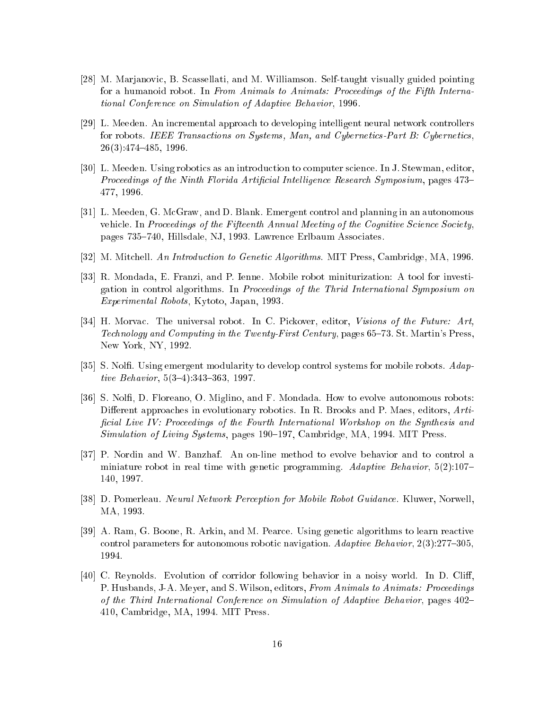- [28] M. Marjanovic, B. Scassellati, and M. Williamson. Self-taught visually guided pointing for a humanoid robot. In From Animals to Animats: Proceedings of the Fifth International Conference on Simulation of Adaptive Behavior, 1996.
- [29] L. Meeden. An incremental approach to developing intelligent neural network controllers for robots. IEEE Transactions on Systems, Man, and Cybernetics-Part B: Cybernetics,  $26(3):474-485, 1996.$
- [30] L. Meeden. Using robotics as an introduction to computer science. In J. Stewman, editor, Proceedings of the Ninth Florida Artificial Intelligence Research Symposium, pages 473– 477, 1996.
- [31] L. Meeden, G. McGraw, and D. Blank. Emergent control and planning in an autonomous vehicle. In Proceedings of the Fifteenth Annual Meeting of the Cognitive Science Society, pages 735-740, Hillsdale, NJ, 1993. Lawrence Erlbaum Associates.
- [32] M. Mitchell. An Introduction to Genetic Algorithms. MIT Press, Cambridge, MA, 1996.
- [33] R. Mondada, E. Franzi, and P. Ienne. Mobile robot miniturization: A tool for investigation in control algorithms. In Proceedings of the Thrid International Symposium on Experimental Robots, Kytoto, Japan, 1993.
- [34] H. Morvac. The universal robot. In C. Pickover, editor, *Visions of the Future: Art*, Technology and Computing in the Twenty-First Century, pages  $65-73$ . St. Martin's Press, New York, NY, 1992.
- [35] S. Nolfi. Using emergent modularity to develop control systems for mobile robots. Adaptive Behavior,  $5(3-4):343-363$ , 1997.
- [36] S. Nolfi, D. Floreano, O. Miglino, and F. Mondada. How to evolve autonomous robots: Different approaches in evolutionary robotics. In R. Brooks and P. Maes, editors,  $Arti$ cial Live IV: Proceedings of the Fourth International Workshop on the Synthesis and Simulation of Living Systems, pages  $190-197$ , Cambridge, MA, 1994. MIT Press.
- [37] P. Nordin and W. Banzhaf. An on-line method to evolve behavior and to control a miniature robot in real time with genetic programming. Adaptive Behavior,  $5(2):107-$ 140, 1997.
- [38] D. Pomerleau. Neural Network Perception for Mobile Robot Guidance. Kluwer, Norwell, MA, 1993.
- [39] A. Ram, G. Boone, R. Arkin, and M. Pearce. Using genetic algorithms to learn reactive control parameters for autonomous robotic navigation. Adaptive Behavior,  $2(3):277-305$ , 1994.
- [40] C. Reynolds. Evolution of corridor following behavior in a noisy world. In D. Cliff, P. Husbands, J-A. Meyer, and S. Wilson, editors, From Animals to Animats: Proceedings of the Third International Conference on Simulation of Adaptive Behavior, pages 402{ 410, Cambridge, MA, 1994. MIT Press.